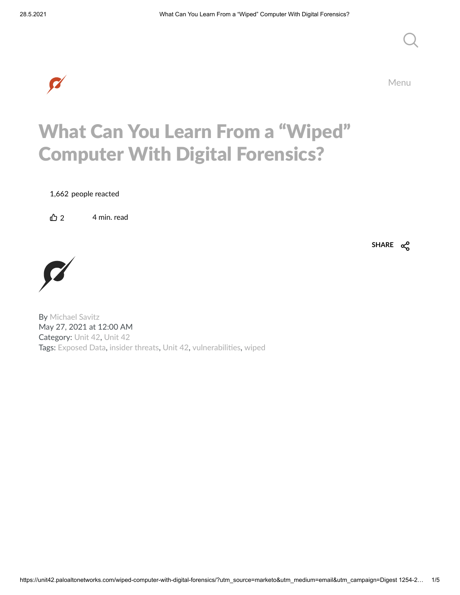

Menu

### What Can You Learn From a "Wiped" Computer With Digital Forensics?

1,662 people reacted

 $\bigoplus$  2 4 min. read



By [Michael](https://unit42.paloaltonetworks.com/author/michael-savitz/) Savitz May 27, 2021 at 12:00 AM Category: [Unit](https://unit42.paloaltonetworks.com/category/unit-42/) 42, [Unit](https://unit42.paloaltonetworks.com/category/unit42/) 42 Tags: [Exposed](https://unit42.paloaltonetworks.com/tag/exposed-data/) Data, insider [threats](https://unit42.paloaltonetworks.com/tag/insider-threats/), [Unit](https://unit42.paloaltonetworks.com/tag/unit-42/) 42, vulnerabilities, [wiped](https://unit42.paloaltonetworks.com/tag/wiped/) **SHARE**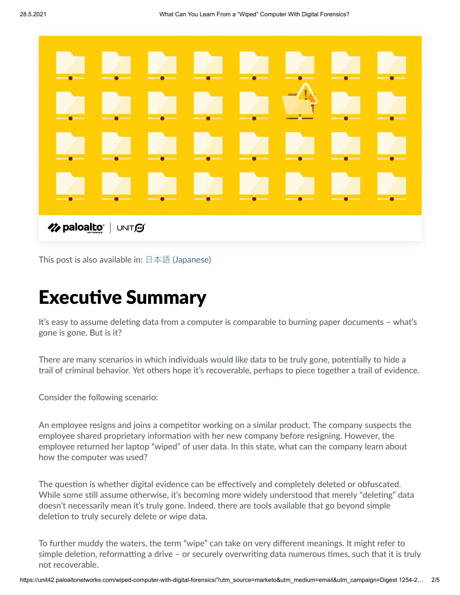

This post is also available in:  $\exists$  本語 [\(Japanese\)](https://unit42.paloaltonetworks.jp/wiped-computer-with-digital-forensics/)

## **Executive Summary**

It's easy to assume deleting data from a computer is comparable to burning paper documents - what's gone is gone. But is it?

There are many scenarios in which individuals would like data to be truly gone, potentially to hide a trail of criminal behavior. Yet others hope it's recoverable, perhaps to piece together a trail of evidence.

Consider the following scenario:

An employee resigns and joins a competitor working on a similar product. The company suspects the employee shared proprietary information with her new company before resigning. However, the employee returned her laptop "wiped" of user data. In this state, what can the company learn about how the computer was used?

The question is whether digital evidence can be effectively and completely deleted or obfuscated. While some still assume otherwise, it's becoming more widely understood that merely "deleting" data doesn't necessarily mean it's truly gone. Indeed, there are tools available that go beyond simple deletion to truly securely delete or wipe data.

To further muddy the waters, the term "wipe" can take on very different meanings. It might refer to simple deletion, reformatting a drive – or securely overwriting data numerous times, such that it is truly not recoverable.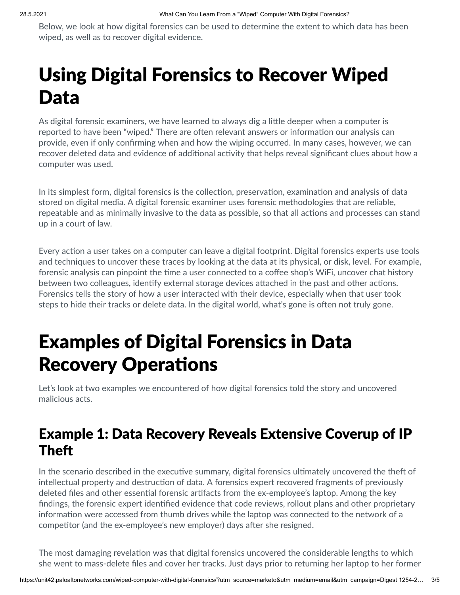Below, we look at how digital forensics can be used to determine the extent to which data has been wiped, as well as to recover digital evidence.

# Using Digital Forensics to Recover Wiped Data

As digital forensic examiners, we have learned to always dig a little deeper when a computer is reported to have been "wiped." There are often relevant answers or information our analysis can provide, even if only confirming when and how the wiping occurred. In many cases, however, we can recover deleted data and evidence of additional activity that helps reveal significant clues about how a computer was used.

In its simplest form, digital forensics is the collection, preservation, examination and analysis of data stored on digital media. A digital forensic examiner uses forensic methodologies that are reliable, repeatable and as minimally invasive to the data as possible, so that all actions and processes can stand up in a court of law.

Every action a user takes on a computer can leave a digital footprint. Digital forensics experts use tools and techniques to uncover these traces by looking at the data at its physical, or disk, level. For example, forensic analysis can pinpoint the time a user connected to a coffee shop's WiFi, uncover chat history between two colleagues, identify external storage devices attached in the past and other actions. Forensics tells the story of how a user interacted with their device, especially when that user took steps to hide their tracks or delete data. In the digital world, what's gone is often not truly gone.

## Examples of Digital Forensics in Data **Recovery Operations**

Let's look at two examples we encountered of how digital forensics told the story and uncovered malicious acts.

### Example 1: Data Recovery Reveals Extensive Coverup of IP **Theft**

In the scenario described in the executive summary, digital forensics ultimately uncovered the theft of intellectual property and destruction of data. A forensics expert recovered fragments of previously deleted files and other essential forensic artifacts from the ex-employee's laptop. Among the key findings, the forensic expert identified evidence that code reviews, rollout plans and other proprietary information were accessed from thumb drives while the laptop was connected to the network of a competitor (and the ex-employee's new employer) days after she resigned.

The most damaging revelation was that digital forensics uncovered the considerable lengths to which she went to mass-delete files and cover her tracks. Just days prior to returning her laptop to her former